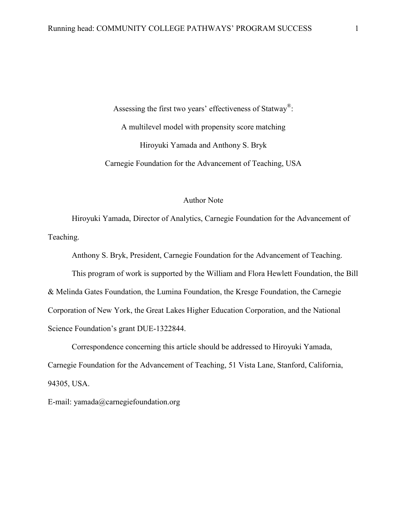Assessing the first two years' effectiveness of Statway<sup>®</sup>: A multilevel model with propensity score matching Hiroyuki Yamada and Anthony S. Bryk Carnegie Foundation for the Advancement of Teaching, USA

#### Author Note

 Hiroyuki Yamada, Director of Analytics, Carnegie Foundation for the Advancement of Teaching.

Anthony S. Bryk, President, Carnegie Foundation for the Advancement of Teaching.

 This program of work is supported by the William and Flora Hewlett Foundation, the Bill & Melinda Gates Foundation, the Lumina Foundation, the Kresge Foundation, the Carnegie Corporation of New York, the Great Lakes Higher Education Corporation, and the National Science Foundation's grant DUE-1322844.

 Correspondence concerning this article should be addressed to Hiroyuki Yamada, Carnegie Foundation for the Advancement of Teaching, 51 Vista Lane, Stanford, California, 94305, USA.

E-mail: yamada@carnegiefoundation.org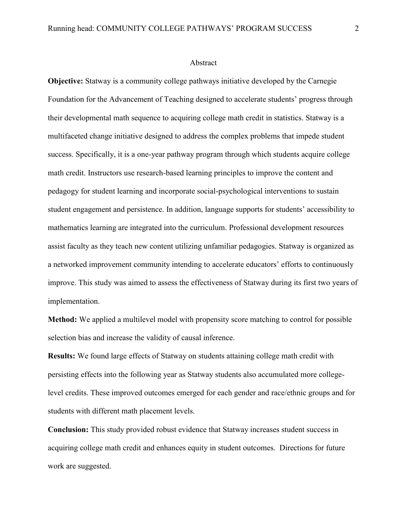#### Abstract

**Objective:** Statway is a community college pathways initiative developed by the Carnegie Foundation for the Advancement of Teaching designed to accelerate students' progress through their developmental math sequence to acquiring college math credit in statistics. Statway is a multifaceted change initiative designed to address the complex problems that impede student success. Specifically, it is a one-year pathway program through which students acquire college math credit. Instructors use research-based learning principles to improve the content and pedagogy for student learning and incorporate social-psychological interventions to sustain student engagement and persistence. In addition, language supports for students' accessibility to mathematics learning are integrated into the curriculum. Professional development resources assist faculty as they teach new content utilizing unfamiliar pedagogies. Statway is organized as a networked improvement community intending to accelerate educators' efforts to continuously improve. This study was aimed to assess the effectiveness of Statway during its first two years of implementation.

**Method:** We applied a multilevel model with propensity score matching to control for possible selection bias and increase the validity of causal inference.

**Results:** We found large effects of Statway on students attaining college math credit with persisting effects into the following year as Statway students also accumulated more collegelevel credits. These improved outcomes emerged for each gender and race/ethnic groups and for students with different math placement levels.

**Conclusion:** This study provided robust evidence that Statway increases student success in acquiring college math credit and enhances equity in student outcomes. Directions for future work are suggested.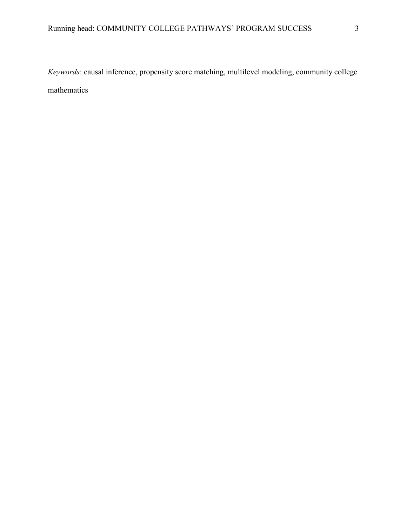*Keywords*: causal inference, propensity score matching, multilevel modeling, community college mathematics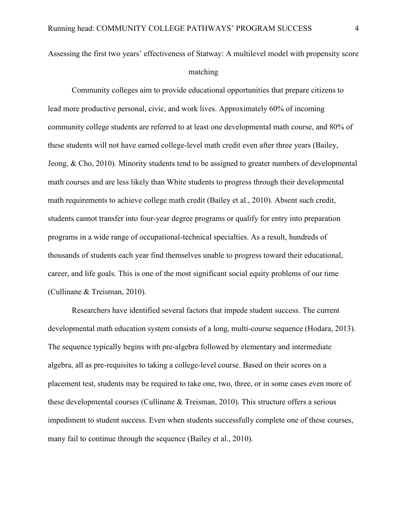Assessing the first two years' effectiveness of Statway: A multilevel model with propensity score matching

Community colleges aim to provide educational opportunities that prepare citizens to lead more productive personal, civic, and work lives. Approximately 60% of incoming community college students are referred to at least one developmental math course, and 80% of these students will not have earned college-level math credit even after three years (Bailey, Jeong, & Cho, 2010). Minority students tend to be assigned to greater numbers of developmental math courses and are less likely than White students to progress through their developmental math requirements to achieve college math credit (Bailey et al., 2010). Absent such credit, students cannot transfer into four-year degree programs or qualify for entry into preparation programs in a wide range of occupational-technical specialties. As a result, hundreds of thousands of students each year find themselves unable to progress toward their educational, career, and life goals. This is one of the most significant social equity problems of our time (Cullinane & Treisman, 2010).

Researchers have identified several factors that impede student success. The current developmental math education system consists of a long, multi-course sequence (Hodara, 2013). The sequence typically begins with pre-algebra followed by elementary and intermediate algebra, all as pre-requisites to taking a college-level course. Based on their scores on a placement test, students may be required to take one, two, three, or in some cases even more of these developmental courses (Cullinane & Treisman, 2010). This structure offers a serious impediment to student success. Even when students successfully complete one of these courses, many fail to continue through the sequence (Bailey et al., 2010).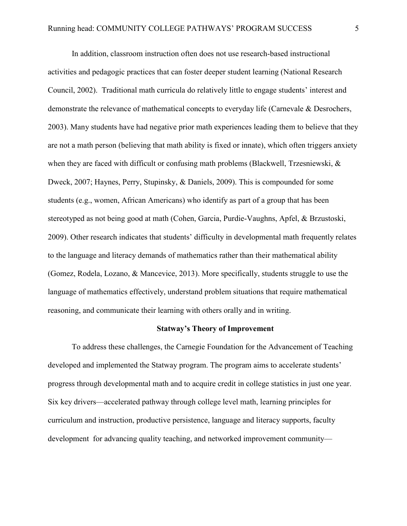In addition, classroom instruction often does not use research-based instructional activities and pedagogic practices that can foster deeper student learning (National Research Council, 2002). Traditional math curricula do relatively little to engage students' interest and demonstrate the relevance of mathematical concepts to everyday life (Carnevale & Desrochers, 2003). Many students have had negative prior math experiences leading them to believe that they are not a math person (believing that math ability is fixed or innate), which often triggers anxiety when they are faced with difficult or confusing math problems (Blackwell, Trzesniewski, & Dweck, 2007; Haynes, Perry, Stupinsky, & Daniels, 2009). This is compounded for some students (e.g., women, African Americans) who identify as part of a group that has been stereotyped as not being good at math (Cohen, Garcia, Purdie-Vaughns, Apfel, & Brzustoski, 2009). Other research indicates that students' difficulty in developmental math frequently relates to the language and literacy demands of mathematics rather than their mathematical ability (Gomez, Rodela, Lozano, & Mancevice, 2013). More specifically, students struggle to use the language of mathematics effectively, understand problem situations that require mathematical reasoning, and communicate their learning with others orally and in writing.

## **Statway's Theory of Improvement**

To address these challenges, the Carnegie Foundation for the Advancement of Teaching developed and implemented the Statway program. The program aims to accelerate students' progress through developmental math and to acquire credit in college statistics in just one year. Six key drivers—accelerated pathway through college level math, learning principles for curriculum and instruction, productive persistence, language and literacy supports, faculty development for advancing quality teaching, and networked improvement community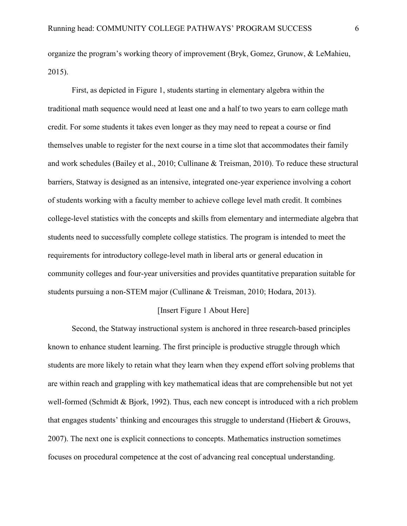organize the program's working theory of improvement (Bryk, Gomez, Grunow, & LeMahieu, 2015).

First, as depicted in Figure 1, students starting in elementary algebra within the traditional math sequence would need at least one and a half to two years to earn college math credit. For some students it takes even longer as they may need to repeat a course or find themselves unable to register for the next course in a time slot that accommodates their family and work schedules (Bailey et al., 2010; Cullinane & Treisman, 2010). To reduce these structural barriers, Statway is designed as an intensive, integrated one-year experience involving a cohort of students working with a faculty member to achieve college level math credit. It combines college-level statistics with the concepts and skills from elementary and intermediate algebra that students need to successfully complete college statistics. The program is intended to meet the requirements for introductory college-level math in liberal arts or general education in community colleges and four-year universities and provides quantitative preparation suitable for students pursuing a non-STEM major (Cullinane & Treisman, 2010; Hodara, 2013).

### [Insert Figure 1 About Here]

Second, the Statway instructional system is anchored in three research-based principles known to enhance student learning. The first principle is productive struggle through which students are more likely to retain what they learn when they expend effort solving problems that are within reach and grappling with key mathematical ideas that are comprehensible but not yet well-formed (Schmidt & Bjork, 1992). Thus, each new concept is introduced with a rich problem that engages students' thinking and encourages this struggle to understand (Hiebert & Grouws, 2007). The next one is explicit connections to concepts. Mathematics instruction sometimes focuses on procedural competence at the cost of advancing real conceptual understanding.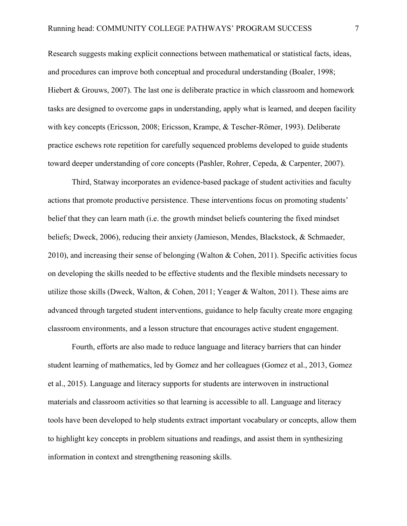Research suggests making explicit connections between mathematical or statistical facts, ideas, and procedures can improve both conceptual and procedural understanding (Boaler, 1998; Hiebert & Grouws, 2007). The last one is deliberate practice in which classroom and homework tasks are designed to overcome gaps in understanding, apply what is learned, and deepen facility with key concepts (Ericsson, 2008; Ericsson, Krampe, & Tescher-Römer, 1993). Deliberate practice eschews rote repetition for carefully sequenced problems developed to guide students toward deeper understanding of core concepts (Pashler, Rohrer, Cepeda, & Carpenter, 2007).

Third, Statway incorporates an evidence-based package of student activities and faculty actions that promote productive persistence. These interventions focus on promoting students' belief that they can learn math (i.e. the growth mindset beliefs countering the fixed mindset beliefs; Dweck, 2006), reducing their anxiety (Jamieson, Mendes, Blackstock, & Schmaeder, 2010), and increasing their sense of belonging (Walton & Cohen, 2011). Specific activities focus on developing the skills needed to be effective students and the flexible mindsets necessary to utilize those skills (Dweck, Walton, & Cohen, 2011; Yeager & Walton, 2011). These aims are advanced through targeted student interventions, guidance to help faculty create more engaging classroom environments, and a lesson structure that encourages active student engagement.

Fourth, efforts are also made to reduce language and literacy barriers that can hinder student learning of mathematics, led by Gomez and her colleagues (Gomez et al., 2013, Gomez et al., 2015). Language and literacy supports for students are interwoven in instructional materials and classroom activities so that learning is accessible to all. Language and literacy tools have been developed to help students extract important vocabulary or concepts, allow them to highlight key concepts in problem situations and readings, and assist them in synthesizing information in context and strengthening reasoning skills.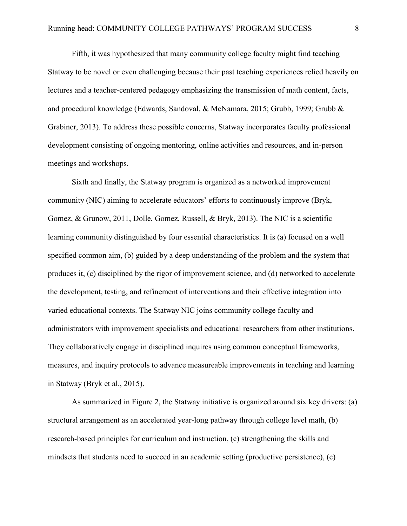Fifth, it was hypothesized that many community college faculty might find teaching Statway to be novel or even challenging because their past teaching experiences relied heavily on lectures and a teacher-centered pedagogy emphasizing the transmission of math content, facts, and procedural knowledge (Edwards, Sandoval, & McNamara, 2015; Grubb, 1999; Grubb & Grabiner, 2013). To address these possible concerns, Statway incorporates faculty professional development consisting of ongoing mentoring, online activities and resources, and in-person meetings and workshops.

Sixth and finally, the Statway program is organized as a networked improvement community (NIC) aiming to accelerate educators' efforts to continuously improve (Bryk, Gomez, & Grunow, 2011, Dolle, Gomez, Russell, & Bryk, 2013). The NIC is a scientific learning community distinguished by four essential characteristics. It is (a) focused on a well specified common aim, (b) guided by a deep understanding of the problem and the system that produces it, (c) disciplined by the rigor of improvement science, and (d) networked to accelerate the development, testing, and refinement of interventions and their effective integration into varied educational contexts. The Statway NIC joins community college faculty and administrators with improvement specialists and educational researchers from other institutions. They collaboratively engage in disciplined inquires using common conceptual frameworks, measures, and inquiry protocols to advance measureable improvements in teaching and learning in Statway (Bryk et al., 2015).

 As summarized in Figure 2, the Statway initiative is organized around six key drivers: (a) structural arrangement as an accelerated year-long pathway through college level math, (b) research-based principles for curriculum and instruction, (c) strengthening the skills and mindsets that students need to succeed in an academic setting (productive persistence), (c)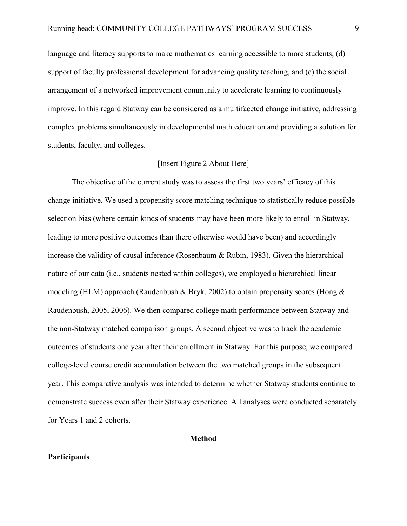language and literacy supports to make mathematics learning accessible to more students, (d) support of faculty professional development for advancing quality teaching, and (e) the social arrangement of a networked improvement community to accelerate learning to continuously improve. In this regard Statway can be considered as a multifaceted change initiative, addressing complex problems simultaneously in developmental math education and providing a solution for students, faculty, and colleges.

#### [Insert Figure 2 About Here]

The objective of the current study was to assess the first two years' efficacy of this change initiative. We used a propensity score matching technique to statistically reduce possible selection bias (where certain kinds of students may have been more likely to enroll in Statway, leading to more positive outcomes than there otherwise would have been) and accordingly increase the validity of causal inference (Rosenbaum & Rubin, 1983). Given the hierarchical nature of our data (i.e., students nested within colleges), we employed a hierarchical linear modeling (HLM) approach (Raudenbush & Bryk, 2002) to obtain propensity scores (Hong  $\&$ Raudenbush, 2005, 2006). We then compared college math performance between Statway and the non-Statway matched comparison groups. A second objective was to track the academic outcomes of students one year after their enrollment in Statway. For this purpose, we compared college-level course credit accumulation between the two matched groups in the subsequent year. This comparative analysis was intended to determine whether Statway students continue to demonstrate success even after their Statway experience. All analyses were conducted separately for Years 1 and 2 cohorts.

# **Method**

### **Participants**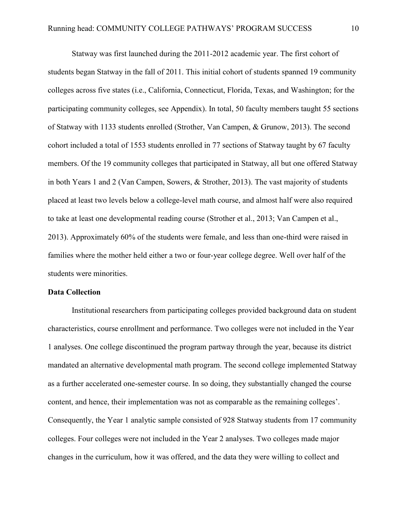Statway was first launched during the 2011-2012 academic year. The first cohort of students began Statway in the fall of 2011. This initial cohort of students spanned 19 community colleges across five states (i.e., California, Connecticut, Florida, Texas, and Washington; for the participating community colleges, see Appendix). In total, 50 faculty members taught 55 sections of Statway with 1133 students enrolled (Strother, Van Campen, & Grunow, 2013). The second cohort included a total of 1553 students enrolled in 77 sections of Statway taught by 67 faculty members. Of the 19 community colleges that participated in Statway, all but one offered Statway in both Years 1 and 2 (Van Campen, Sowers, & Strother, 2013). The vast majority of students placed at least two levels below a college-level math course, and almost half were also required to take at least one developmental reading course (Strother et al., 2013; Van Campen et al., 2013). Approximately 60% of the students were female, and less than one-third were raised in families where the mother held either a two or four-year college degree. Well over half of the students were minorities.

### **Data Collection**

Institutional researchers from participating colleges provided background data on student characteristics, course enrollment and performance. Two colleges were not included in the Year 1 analyses. One college discontinued the program partway through the year, because its district mandated an alternative developmental math program. The second college implemented Statway as a further accelerated one-semester course. In so doing, they substantially changed the course content, and hence, their implementation was not as comparable as the remaining colleges'. Consequently, the Year 1 analytic sample consisted of 928 Statway students from 17 community colleges. Four colleges were not included in the Year 2 analyses. Two colleges made major changes in the curriculum, how it was offered, and the data they were willing to collect and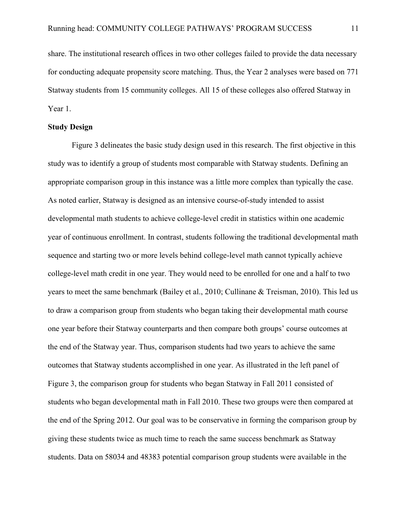share. The institutional research offices in two other colleges failed to provide the data necessary for conducting adequate propensity score matching. Thus, the Year 2 analyses were based on 771 Statway students from 15 community colleges. All 15 of these colleges also offered Statway in Year 1.

#### **Study Design**

Figure 3 delineates the basic study design used in this research. The first objective in this study was to identify a group of students most comparable with Statway students. Defining an appropriate comparison group in this instance was a little more complex than typically the case. As noted earlier, Statway is designed as an intensive course-of-study intended to assist developmental math students to achieve college-level credit in statistics within one academic year of continuous enrollment. In contrast, students following the traditional developmental math sequence and starting two or more levels behind college-level math cannot typically achieve college-level math credit in one year. They would need to be enrolled for one and a half to two years to meet the same benchmark (Bailey et al., 2010; Cullinane & Treisman, 2010). This led us to draw a comparison group from students who began taking their developmental math course one year before their Statway counterparts and then compare both groups' course outcomes at the end of the Statway year. Thus, comparison students had two years to achieve the same outcomes that Statway students accomplished in one year. As illustrated in the left panel of Figure 3, the comparison group for students who began Statway in Fall 2011 consisted of students who began developmental math in Fall 2010. These two groups were then compared at the end of the Spring 2012. Our goal was to be conservative in forming the comparison group by giving these students twice as much time to reach the same success benchmark as Statway students. Data on 58034 and 48383 potential comparison group students were available in the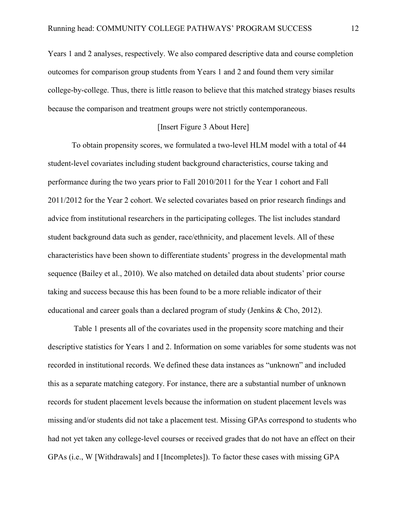Years 1 and 2 analyses, respectively. We also compared descriptive data and course completion outcomes for comparison group students from Years 1 and 2 and found them very similar college-by-college. Thus, there is little reason to believe that this matched strategy biases results because the comparison and treatment groups were not strictly contemporaneous.

### [Insert Figure 3 About Here]

To obtain propensity scores, we formulated a two-level HLM model with a total of 44 student-level covariates including student background characteristics, course taking and performance during the two years prior to Fall 2010/2011 for the Year 1 cohort and Fall 2011/2012 for the Year 2 cohort. We selected covariates based on prior research findings and advice from institutional researchers in the participating colleges. The list includes standard student background data such as gender, race/ethnicity, and placement levels. All of these characteristics have been shown to differentiate students' progress in the developmental math sequence (Bailey et al., 2010). We also matched on detailed data about students' prior course taking and success because this has been found to be a more reliable indicator of their educational and career goals than a declared program of study (Jenkins & Cho, 2012).

Table 1 presents all of the covariates used in the propensity score matching and their descriptive statistics for Years 1 and 2. Information on some variables for some students was not recorded in institutional records. We defined these data instances as "unknown" and included this as a separate matching category. For instance, there are a substantial number of unknown records for student placement levels because the information on student placement levels was missing and/or students did not take a placement test. Missing GPAs correspond to students who had not yet taken any college-level courses or received grades that do not have an effect on their GPAs (i.e., W [Withdrawals] and I [Incompletes]). To factor these cases with missing GPA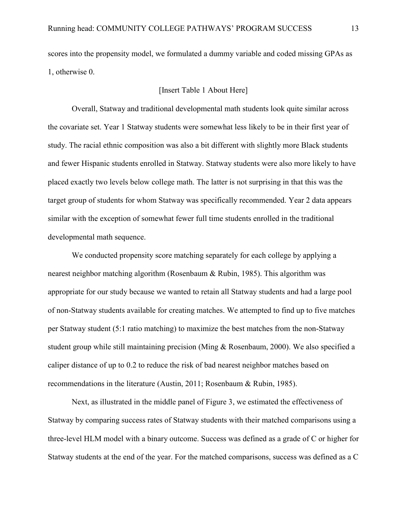scores into the propensity model, we formulated a dummy variable and coded missing GPAs as 1, otherwise 0.

### [Insert Table 1 About Here]

Overall, Statway and traditional developmental math students look quite similar across the covariate set. Year 1 Statway students were somewhat less likely to be in their first year of study. The racial ethnic composition was also a bit different with slightly more Black students and fewer Hispanic students enrolled in Statway. Statway students were also more likely to have placed exactly two levels below college math. The latter is not surprising in that this was the target group of students for whom Statway was specifically recommended. Year 2 data appears similar with the exception of somewhat fewer full time students enrolled in the traditional developmental math sequence.

We conducted propensity score matching separately for each college by applying a nearest neighbor matching algorithm (Rosenbaum & Rubin, 1985). This algorithm was appropriate for our study because we wanted to retain all Statway students and had a large pool of non-Statway students available for creating matches. We attempted to find up to five matches per Statway student (5:1 ratio matching) to maximize the best matches from the non-Statway student group while still maintaining precision (Ming & Rosenbaum, 2000). We also specified a caliper distance of up to 0.2 to reduce the risk of bad nearest neighbor matches based on recommendations in the literature (Austin, 2011; Rosenbaum & Rubin, 1985).

 Next, as illustrated in the middle panel of Figure 3, we estimated the effectiveness of Statway by comparing success rates of Statway students with their matched comparisons using a three-level HLM model with a binary outcome. Success was defined as a grade of C or higher for Statway students at the end of the year. For the matched comparisons, success was defined as a C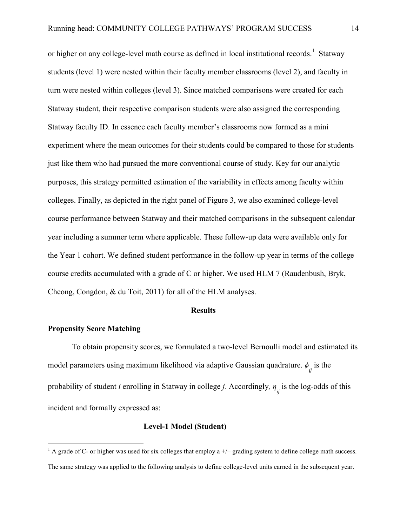or higher on any college-level math course as defined in local institutional records.<sup>1</sup> Statway students (level 1) were nested within their faculty member classrooms (level 2), and faculty in turn were nested within colleges (level 3). Since matched comparisons were created for each Statway student, their respective comparison students were also assigned the corresponding Statway faculty ID. In essence each faculty member's classrooms now formed as a mini experiment where the mean outcomes for their students could be compared to those for students just like them who had pursued the more conventional course of study. Key for our analytic purposes, this strategy permitted estimation of the variability in effects among faculty within colleges. Finally, as depicted in the right panel of Figure 3, we also examined college-level course performance between Statway and their matched comparisons in the subsequent calendar year including a summer term where applicable. These follow-up data were available only for the Year 1 cohort. We defined student performance in the follow-up year in terms of the college course credits accumulated with a grade of C or higher. We used HLM 7 (Raudenbush, Bryk, Cheong, Congdon, & du Toit, 2011) for all of the HLM analyses.

#### **Results**

# **Propensity Score Matching**

To obtain propensity scores, we formulated a two-level Bernoulli model and estimated its model parameters using maximum likelihood via adaptive Gaussian quadrature.  $\phi_{ij}$  is the probability of student *i* enrolling in Statway in college *j*. Accordingly*, η ij* is the log-odds of this incident and formally expressed as:

#### **Level-1 Model (Student)**

<sup>&</sup>lt;sup>1</sup> A grade of C- or higher was used for six colleges that employ a +/- grading system to define college math success. The same strategy was applied to the following analysis to define college-level units earned in the subsequent year.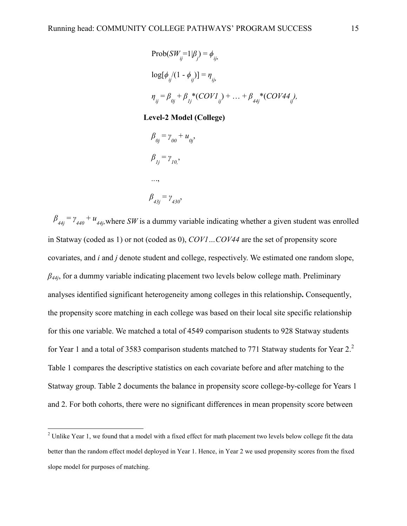Prob(SW<sub>ij</sub>=1|
$$
\beta_j
$$
) =  $\phi_{ij}$ ,  
\nlog[ $\phi_{ij}/(1 - \phi_{ij})$ ] =  $\eta_{ij}$ ,  
\n
$$
\eta_{ij} = \beta_{0j} + \beta_{1j} * (COVI_{ij}) + ... + \beta_{44j} * (COVA4_{ij}),
$$

### **Level-2 Model (College)**

$$
\beta_{0j} = \gamma_{00} + u_{0j},
$$
\n
$$
\beta_{1j} = \gamma_{10},
$$
\n
$$
\cdots,
$$
\n
$$
\beta_{43j} = \gamma_{430},
$$

 $\beta_{44j} = \gamma_{440} + u_{44j}$ , where *SW* is a dummy variable indicating whether a given student was enrolled in Statway (coded as 1) or not (coded as 0), *COV1…COV44* are the set of propensity score covariates, and *i* and *j* denote student and college, respectively. We estimated one random slope, *β44j*, for a dummy variable indicating placement two levels below college math. Preliminary analyses identified significant heterogeneity among colleges in this relationship**.** Consequently, the propensity score matching in each college was based on their local site specific relationship for this one variable. We matched a total of 4549 comparison students to 928 Statway students for Year 1 and a total of 3583 comparison students matched to 771 Statway students for Year 2.<sup>2</sup> Table 1 compares the descriptive statistics on each covariate before and after matching to the Statway group. Table 2 documents the balance in propensity score college-by-college for Years 1 and 2. For both cohorts, there were no significant differences in mean propensity score between

<sup>&</sup>lt;sup>2</sup> Unlike Year 1, we found that a model with a fixed effect for math placement two levels below college fit the data better than the random effect model deployed in Year 1. Hence, in Year 2 we used propensity scores from the fixed slope model for purposes of matching.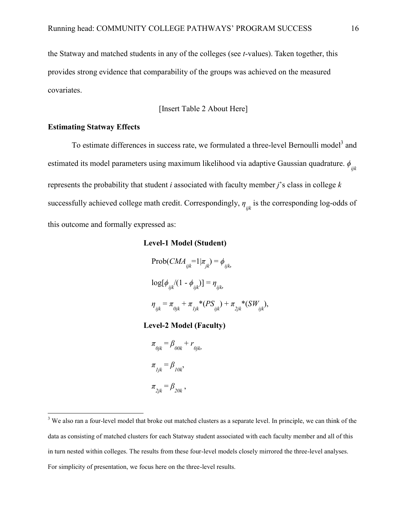the Statway and matched students in any of the colleges (see *t*-values). Taken together, this provides strong evidence that comparability of the groups was achieved on the measured covariates.

[Insert Table 2 About Here]

### **Estimating Statway Effects**

To estimate differences in success rate, we formulated a three-level Bernoulli model<sup>3</sup> and estimated its model parameters using maximum likelihood via adaptive Gaussian quadrature. *ϕ ijk* represents the probability that student *i* associated with faculty member *j*'s class in college *k* successfully achieved college math credit. Correspondingly, *η ijk* is the corresponding log-odds of this outcome and formally expressed as:

# **Level-1 Model (Student)**

 $\text{Prob}(CMA_{ijk} = 1 | \pi_{jk}) = \phi_{ijk}$  $\log[\phi_{ijk}^{\prime}(1-\phi_{ijk}^{\prime})]=\eta_{ijk}^{\prime}$  $\eta_{ijk} = \pi_{0jk} + \pi_{1jk} * (PS_{ijk}) + \pi_{2jk} * (SW_{ijk}),$ 

## **Level-2 Model (Faculty)**

 $\pi_{0jk} = \beta_{00k} + r_{0jk}$  $\pi$ <sub>*ljk*</sub> =  $\beta$ <sub>*l0k*</sub>  $\pi_{2jk} = \beta_{20k}$ ,

<sup>&</sup>lt;sup>3</sup> We also ran a four-level model that broke out matched clusters as a separate level. In principle, we can think of the data as consisting of matched clusters for each Statway student associated with each faculty member and all of this in turn nested within colleges. The results from these four-level models closely mirrored the three-level analyses. For simplicity of presentation, we focus here on the three-level results.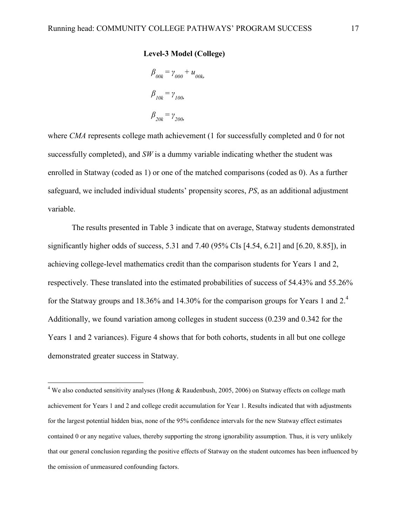### **Level-3 Model (College)**

$$
\beta_{00k} = \gamma_{000} + u_{00k}
$$

$$
\beta_{10k} = \gamma_{100k}
$$

$$
\beta_{20k} = \gamma_{200k}
$$

where *CMA* represents college math achievement (1 for successfully completed and 0 for not successfully completed), and *SW* is a dummy variable indicating whether the student was enrolled in Statway (coded as 1) or one of the matched comparisons (coded as 0). As a further safeguard, we included individual students' propensity scores, *PS*, as an additional adjustment variable.

The results presented in Table 3 indicate that on average, Statway students demonstrated significantly higher odds of success, 5.31 and 7.40 (95% CIs [4.54, 6.21] and [6.20, 8.85]), in achieving college-level mathematics credit than the comparison students for Years 1 and 2, respectively. These translated into the estimated probabilities of success of 54.43% and 55.26% for the Statway groups and 18.36% and 14.30% for the comparison groups for Years 1 and  $2<sup>4</sup>$ . Additionally, we found variation among colleges in student success (0.239 and 0.342 for the Years 1 and 2 variances). Figure 4 shows that for both cohorts, students in all but one college demonstrated greater success in Statway.

 $\overline{a}$ 

<sup>&</sup>lt;sup>4</sup> We also conducted sensitivity analyses (Hong & Raudenbush, 2005, 2006) on Statway effects on college math achievement for Years 1 and 2 and college credit accumulation for Year 1. Results indicated that with adjustments for the largest potential hidden bias, none of the 95% confidence intervals for the new Statway effect estimates contained 0 or any negative values, thereby supporting the strong ignorability assumption. Thus, it is very unlikely that our general conclusion regarding the positive effects of Statway on the student outcomes has been influenced by the omission of unmeasured confounding factors.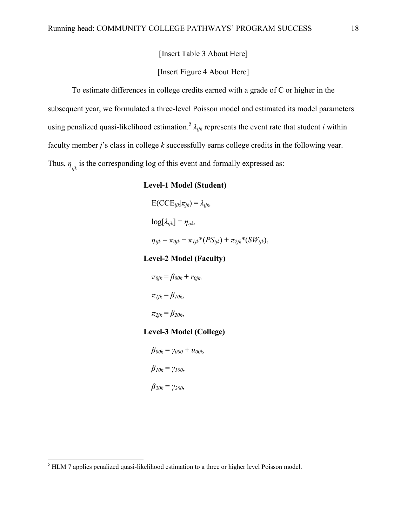[Insert Table 3 About Here]

# [Insert Figure 4 About Here]

To estimate differences in college credits earned with a grade of C or higher in the subsequent year, we formulated a three-level Poisson model and estimated its model parameters using penalized quasi-likelihood estimation.<sup>5</sup> *λijk* represents the event rate that student *i* within faculty member *j*'s class in college *k* successfully earns college credits in the following year. Thus,  $\eta_{ijk}$  is the corresponding log of this event and formally expressed as:

## **Level-1 Model (Student)**

$$
E(CCE_{ijk}|\pi_{jk}) = \lambda_{ijk}
$$
  
\n
$$
log[\lambda_{ijk}] = \eta_{ijk}
$$
  
\n
$$
\eta_{ijk} = \pi_{0jk} + \pi_{ljk}*(PS_{ijk}) + \pi_{2jk}*(SW_{ijk}),
$$

#### **Level-2 Model (Faculty)**

$$
\pi_{0jk} = \beta_{00k} + r_{0jk},
$$
  
\n
$$
\pi_{ljk} = \beta_{10k},
$$
  
\n
$$
\pi_{2jk} = \beta_{20k},
$$

# **Level-3 Model (College)**

 $β_{00k} = γ_{000} + u_{00k}$  *β10k* = *γ100*, *β20k* = *γ200,*

<sup>&</sup>lt;sup>5</sup> HLM 7 applies penalized quasi-likelihood estimation to a three or higher level Poisson model.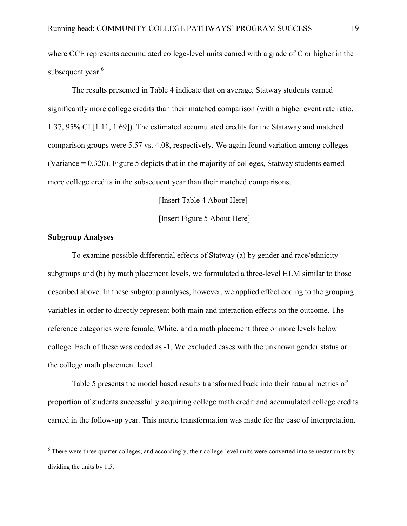where CCE represents accumulated college-level units earned with a grade of C or higher in the subsequent year.<sup>6</sup>

The results presented in Table 4 indicate that on average, Statway students earned significantly more college credits than their matched comparison (with a higher event rate ratio, 1.37, 95% CI [1.11, 1.69]). The estimated accumulated credits for the Stataway and matched comparison groups were 5.57 vs. 4.08, respectively. We again found variation among colleges (Variance = 0.320). Figure 5 depicts that in the majority of colleges, Statway students earned more college credits in the subsequent year than their matched comparisons.

[Insert Table 4 About Here]

[Insert Figure 5 About Here]

## **Subgroup Analyses**

 $\overline{a}$ 

To examine possible differential effects of Statway (a) by gender and race/ethnicity subgroups and (b) by math placement levels, we formulated a three-level HLM similar to those described above. In these subgroup analyses, however, we applied effect coding to the grouping variables in order to directly represent both main and interaction effects on the outcome. The reference categories were female, White, and a math placement three or more levels below college. Each of these was coded as -1. We excluded cases with the unknown gender status or the college math placement level.

Table 5 presents the model based results transformed back into their natural metrics of proportion of students successfully acquiring college math credit and accumulated college credits earned in the follow-up year. This metric transformation was made for the ease of interpretation.

<sup>&</sup>lt;sup>6</sup> There were three quarter colleges, and accordingly, their college-level units were converted into semester units by dividing the units by 1.5.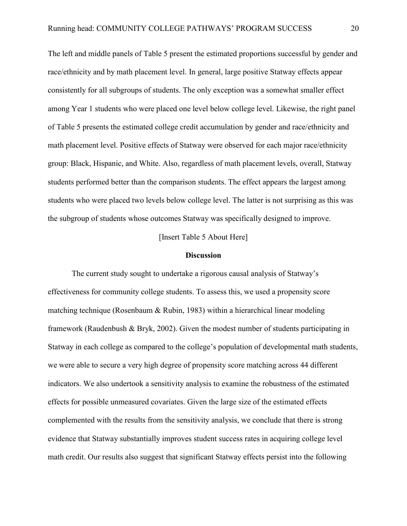The left and middle panels of Table 5 present the estimated proportions successful by gender and race/ethnicity and by math placement level. In general, large positive Statway effects appear consistently for all subgroups of students. The only exception was a somewhat smaller effect among Year 1 students who were placed one level below college level. Likewise, the right panel of Table 5 presents the estimated college credit accumulation by gender and race/ethnicity and math placement level. Positive effects of Statway were observed for each major race/ethnicity group: Black, Hispanic, and White. Also, regardless of math placement levels, overall, Statway students performed better than the comparison students. The effect appears the largest among students who were placed two levels below college level. The latter is not surprising as this was the subgroup of students whose outcomes Statway was specifically designed to improve.

[Insert Table 5 About Here]

#### **Discussion**

The current study sought to undertake a rigorous causal analysis of Statway's effectiveness for community college students. To assess this, we used a propensity score matching technique (Rosenbaum  $\&$  Rubin, 1983) within a hierarchical linear modeling framework (Raudenbush & Bryk, 2002). Given the modest number of students participating in Statway in each college as compared to the college's population of developmental math students, we were able to secure a very high degree of propensity score matching across 44 different indicators. We also undertook a sensitivity analysis to examine the robustness of the estimated effects for possible unmeasured covariates. Given the large size of the estimated effects complemented with the results from the sensitivity analysis, we conclude that there is strong evidence that Statway substantially improves student success rates in acquiring college level math credit. Our results also suggest that significant Statway effects persist into the following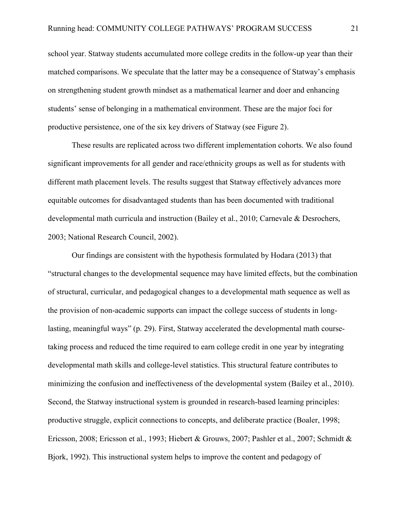school year. Statway students accumulated more college credits in the follow-up year than their matched comparisons. We speculate that the latter may be a consequence of Statway's emphasis on strengthening student growth mindset as a mathematical learner and doer and enhancing students' sense of belonging in a mathematical environment. These are the major foci for productive persistence, one of the six key drivers of Statway (see Figure 2).

These results are replicated across two different implementation cohorts. We also found significant improvements for all gender and race/ethnicity groups as well as for students with different math placement levels. The results suggest that Statway effectively advances more equitable outcomes for disadvantaged students than has been documented with traditional developmental math curricula and instruction (Bailey et al., 2010; Carnevale & Desrochers, 2003; National Research Council, 2002).

Our findings are consistent with the hypothesis formulated by Hodara (2013) that "structural changes to the developmental sequence may have limited effects, but the combination of structural, curricular, and pedagogical changes to a developmental math sequence as well as the provision of non-academic supports can impact the college success of students in longlasting, meaningful ways" (p. 29). First, Statway accelerated the developmental math coursetaking process and reduced the time required to earn college credit in one year by integrating developmental math skills and college-level statistics. This structural feature contributes to minimizing the confusion and ineffectiveness of the developmental system (Bailey et al., 2010). Second, the Statway instructional system is grounded in research-based learning principles: productive struggle, explicit connections to concepts, and deliberate practice (Boaler, 1998; Ericsson, 2008; Ericsson et al., 1993; Hiebert & Grouws, 2007; Pashler et al., 2007; Schmidt & Bjork, 1992). This instructional system helps to improve the content and pedagogy of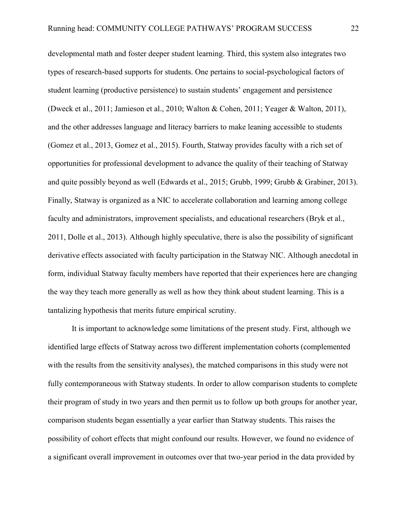developmental math and foster deeper student learning. Third, this system also integrates two types of research-based supports for students. One pertains to social-psychological factors of student learning (productive persistence) to sustain students' engagement and persistence (Dweck et al., 2011; Jamieson et al., 2010; Walton & Cohen, 2011; Yeager & Walton, 2011), and the other addresses language and literacy barriers to make leaning accessible to students (Gomez et al., 2013, Gomez et al., 2015). Fourth, Statway provides faculty with a rich set of opportunities for professional development to advance the quality of their teaching of Statway and quite possibly beyond as well (Edwards et al., 2015; Grubb, 1999; Grubb & Grabiner, 2013). Finally, Statway is organized as a NIC to accelerate collaboration and learning among college faculty and administrators, improvement specialists, and educational researchers (Bryk et al., 2011, Dolle et al., 2013). Although highly speculative, there is also the possibility of significant derivative effects associated with faculty participation in the Statway NIC. Although anecdotal in form, individual Statway faculty members have reported that their experiences here are changing the way they teach more generally as well as how they think about student learning. This is a tantalizing hypothesis that merits future empirical scrutiny.

It is important to acknowledge some limitations of the present study. First, although we identified large effects of Statway across two different implementation cohorts (complemented with the results from the sensitivity analyses), the matched comparisons in this study were not fully contemporaneous with Statway students. In order to allow comparison students to complete their program of study in two years and then permit us to follow up both groups for another year, comparison students began essentially a year earlier than Statway students. This raises the possibility of cohort effects that might confound our results. However, we found no evidence of a significant overall improvement in outcomes over that two-year period in the data provided by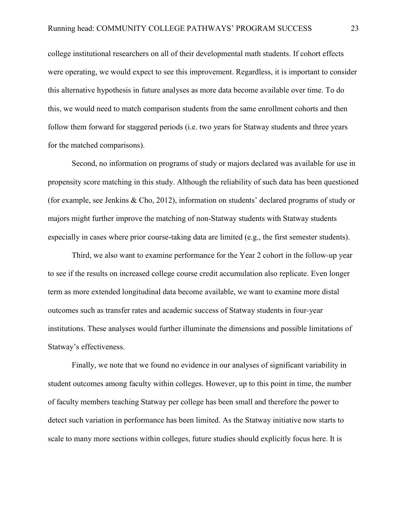college institutional researchers on all of their developmental math students. If cohort effects were operating, we would expect to see this improvement. Regardless, it is important to consider this alternative hypothesis in future analyses as more data become available over time. To do this, we would need to match comparison students from the same enrollment cohorts and then follow them forward for staggered periods (i.e. two years for Statway students and three years for the matched comparisons).

Second, no information on programs of study or majors declared was available for use in propensity score matching in this study. Although the reliability of such data has been questioned (for example, see Jenkins & Cho, 2012), information on students' declared programs of study or majors might further improve the matching of non-Statway students with Statway students especially in cases where prior course-taking data are limited (e.g., the first semester students).

Third, we also want to examine performance for the Year 2 cohort in the follow-up year to see if the results on increased college course credit accumulation also replicate. Even longer term as more extended longitudinal data become available, we want to examine more distal outcomes such as transfer rates and academic success of Statway students in four-year institutions. These analyses would further illuminate the dimensions and possible limitations of Statway's effectiveness.

Finally, we note that we found no evidence in our analyses of significant variability in student outcomes among faculty within colleges. However, up to this point in time, the number of faculty members teaching Statway per college has been small and therefore the power to detect such variation in performance has been limited. As the Statway initiative now starts to scale to many more sections within colleges, future studies should explicitly focus here. It is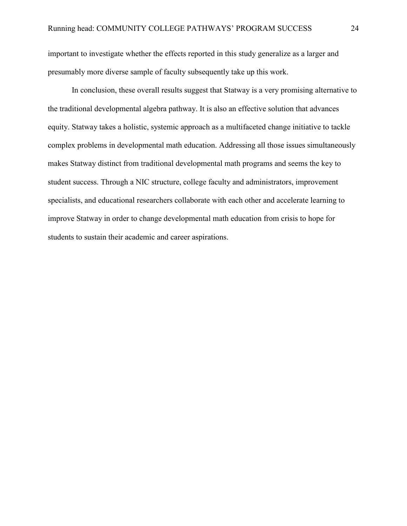important to investigate whether the effects reported in this study generalize as a larger and presumably more diverse sample of faculty subsequently take up this work.

In conclusion, these overall results suggest that Statway is a very promising alternative to the traditional developmental algebra pathway. It is also an effective solution that advances equity. Statway takes a holistic, systemic approach as a multifaceted change initiative to tackle complex problems in developmental math education. Addressing all those issues simultaneously makes Statway distinct from traditional developmental math programs and seems the key to student success. Through a NIC structure, college faculty and administrators, improvement specialists, and educational researchers collaborate with each other and accelerate learning to improve Statway in order to change developmental math education from crisis to hope for students to sustain their academic and career aspirations.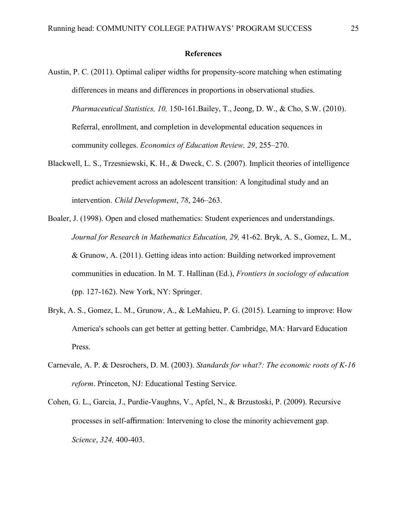#### **References**

- Austin, P. C. (2011). Optimal caliper widths for propensity-score matching when estimating differences in means and differences in proportions in observational studies. *Pharmaceutical Statistics, 10,* 150-161.Bailey, T., Jeong, D. W., & Cho, S.W. (2010). Referral, enrollment, and completion in developmental education sequences in community colleges. *Economics of Education Review, 29*, 255–270.
- Blackwell, L. S., Trzesniewski, K. H., & Dweck, C. S. (2007). Implicit theories of intelligence predict achievement across an adolescent transition: A longitudinal study and an intervention. *Child Development*, *78*, 246–263.
- Boaler, J. (1998). Open and closed mathematics: Student experiences and understandings. *Journal for Research in Mathematics Education, 29, 41-62. Bryk, A. S., Gomez, L. M.,* & Grunow, A. (2011). Getting ideas into action: Building networked improvement communities in education. In M. T. Hallinan (Ed.), *Frontiers in sociology of education* (pp. 127-162). New York, NY: Springer.
- Bryk, A. S., Gomez, L. M., Grunow, A., & LeMahieu, P. G. (2015). Learning to improve: How America's schools can get better at getting better. Cambridge, MA: Harvard Education Press.
- Carnevale, A. P. & Desrochers, D. M. (2003). *Standards for what?: The economic roots of K-16 reform*. Princeton, NJ: Educational Testing Service.
- Cohen, G. L., Garcia, J., Purdie-Vaughns, V., Apfel, N., & Brzustoski, P. (2009). Recursive processes in self-affirmation: Intervening to close the minority achievement gap. *Science*, *324,* 400-403.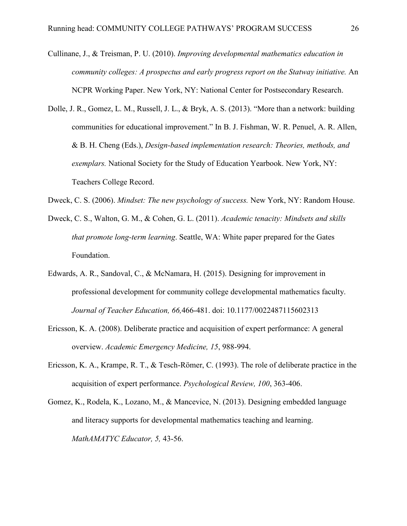- Cullinane, J., & Treisman, P. U. (2010). *Improving developmental mathematics education in community colleges: A prospectus and early progress report on the Statway initiative.* An NCPR Working Paper. New York, NY: National Center for Postsecondary Research.
- Dolle, J. R., Gomez, L. M., Russell, J. L., & Bryk, A. S. (2013). "More than a network: building communities for educational improvement." In B. J. Fishman, W. R. Penuel, A. R. Allen, & B. H. Cheng (Eds.), *Design-based implementation research: Theories, methods, and exemplars.* National Society for the Study of Education Yearbook. New York, NY: Teachers College Record.
- Dweck, C. S. (2006). *Mindset: The new psychology of success.* New York, NY: Random House.
- Dweck, C. S., Walton, G. M., & Cohen, G. L. (2011). *Academic tenacity: Mindsets and skills that promote long-term learning*. Seattle, WA: White paper prepared for the Gates Foundation.
- Edwards, A. R., Sandoval, C., & McNamara, H. (2015). Designing for improvement in professional development for community college developmental mathematics faculty. *Journal of Teacher Education, 66,*466-481. doi: 10.1177/0022487115602313
- Ericsson, K. A. (2008). Deliberate practice and acquisition of expert performance: A general overview. *Academic Emergency Medicine, 15*, 988-994.
- Ericsson, K. A., Krampe, R. T., & Tesch-Römer, C. (1993). The role of deliberate practice in the acquisition of expert performance. *Psychological Review, 100*, 363-406.
- Gomez, K., Rodela, K., Lozano, M., & Mancevice, N. (2013). Designing embedded language and literacy supports for developmental mathematics teaching and learning. *MathAMATYC Educator, 5,* 43-56.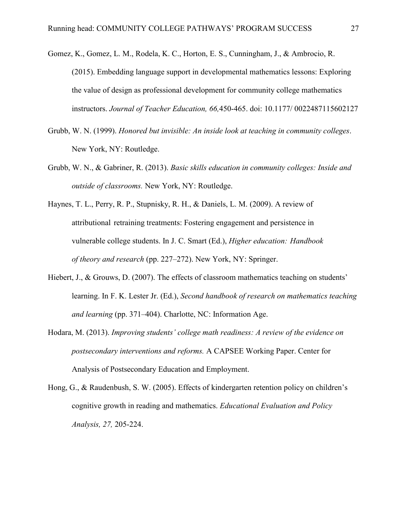- Gomez, K., Gomez, L. M., Rodela, K. C., Horton, E. S., Cunningham, J., & Ambrocio, R. (2015). Embedding language support in developmental mathematics lessons: Exploring the value of design as professional development for community college mathematics instructors. *Journal of Teacher Education, 66,*450-465. doi: 10.1177/ 0022487115602127
- Grubb, W. N. (1999). *Honored but invisible: An inside look at teaching in community colleges*. New York, NY: Routledge.
- Grubb, W. N., & Gabriner, R. (2013). *Basic skills education in community colleges: Inside and outside of classrooms.* New York, NY: Routledge.
- Haynes, T. L., Perry, R. P., Stupnisky, R. H., & Daniels, L. M. (2009). A review of attributional retraining treatments: Fostering engagement and persistence in vulnerable college students. In J. C. Smart (Ed.), *Higher education: Handbook of theory and research* (pp. 227–272). New York, NY: Springer.
- Hiebert, J., & Grouws, D. (2007). The effects of classroom mathematics teaching on students' learning. In F. K. Lester Jr. (Ed.), *Second handbook of research on mathematics teaching and learning* (pp. 371–404). Charlotte, NC: Information Age.
- Hodara, M. (2013). *Improving students' college math readiness: A review of the evidence on postsecondary interventions and reforms.* A CAPSEE Working Paper. Center for Analysis of Postsecondary Education and Employment.
- Hong, G., & Raudenbush, S. W. (2005). Effects of kindergarten retention policy on children's cognitive growth in reading and mathematics. *Educational Evaluation and Policy Analysis, 27,* 205-224.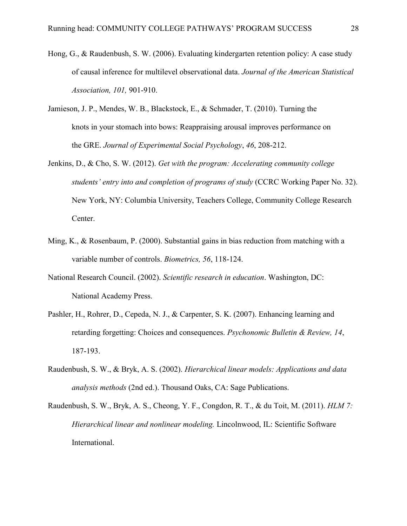- Hong, G., & Raudenbush, S. W. (2006). Evaluating kindergarten retention policy: A case study of causal inference for multilevel observational data. *Journal of the American Statistical Association, 101,* 901-910.
- Jamieson, J. P., Mendes, W. B., Blackstock, E., & Schmader, T. (2010). Turning the knots in your stomach into bows: Reappraising arousal improves performance on the GRE. *Journal of Experimental Social Psychology*, *46*, 208-212.
- Jenkins, D., & Cho, S. W. (2012). *Get with the program: Accelerating community college students' entry into and completion of programs of study* (CCRC Working Paper No. 32). New York, NY: Columbia University, Teachers College, Community College Research Center.
- Ming, K., & Rosenbaum, P. (2000). Substantial gains in bias reduction from matching with a variable number of controls. *Biometrics, 56*, 118-124.
- National Research Council. (2002). *Scientific research in education*. Washington, DC: National Academy Press.
- Pashler, H., Rohrer, D., Cepeda, N. J., & Carpenter, S. K. (2007). Enhancing learning and retarding forgetting: Choices and consequences. *Psychonomic Bulletin & Review, 14*, 187-193.
- Raudenbush, S. W., & Bryk, A. S. (2002). *Hierarchical linear models: Applications and data analysis methods* (2nd ed.). Thousand Oaks, CA: Sage Publications.
- Raudenbush, S. W., Bryk, A. S., Cheong, Y. F., Congdon, R. T., & du Toit, M. (2011). *HLM 7: Hierarchical linear and nonlinear modeling.* Lincolnwood, IL: Scientific Software International.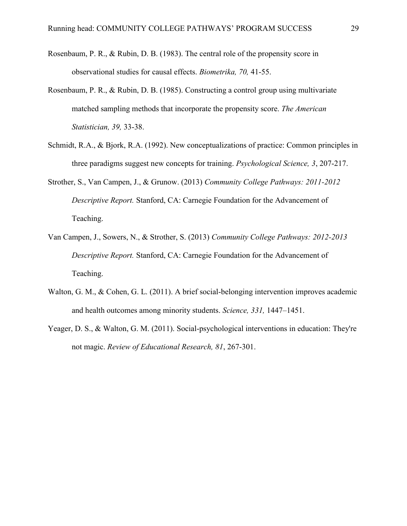- Rosenbaum, P. R., & Rubin, D. B. (1983). The central role of the propensity score in observational studies for causal effects. *Biometrika, 70,* 41-55.
- Rosenbaum, P. R., & Rubin, D. B. (1985). Constructing a control group using multivariate matched sampling methods that incorporate the propensity score. *The American Statistician, 39,* 33-38.
- Schmidt, R.A., & Bjork, R.A. (1992). New conceptualizations of practice: Common principles in three paradigms suggest new concepts for training. *Psychological Science, 3*, 207-217.
- Strother, S., Van Campen, J., & Grunow. (2013) *Community College Pathways: 2011-2012 Descriptive Report.* Stanford, CA: Carnegie Foundation for the Advancement of Teaching.
- Van Campen, J., Sowers, N., & Strother, S. (2013) *Community College Pathways: 2012-2013 Descriptive Report.* Stanford, CA: Carnegie Foundation for the Advancement of Teaching.
- Walton, G. M., & Cohen, G. L. (2011). A brief social-belonging intervention improves academic and health outcomes among minority students. *Science, 331,* 1447–1451.
- Yeager, D. S., & Walton, G. M. (2011). Social-psychological interventions in education: They're not magic. *Review of Educational Research, 81*, 267-301.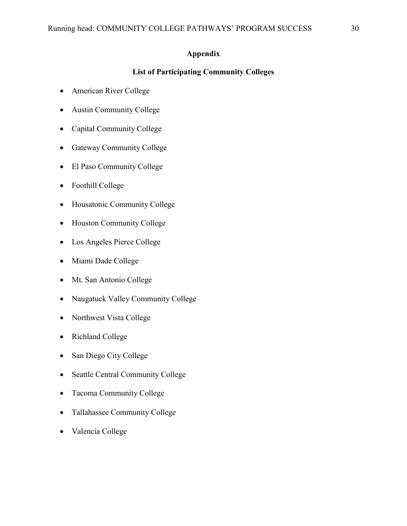# **Appendix**

# **List of Participating Community Colleges**

- American River College
- Austin Community College
- Capital Community College
- Gateway Community College
- El Paso Community College
- Foothill College
- Housatonic Community College
- Houston Community College
- Los Angeles Pierce College
- Miami Dade College
- Mt. San Antonio College
- Naugatuck Valley Community College
- Northwest Vista College
- Richland College
- San Diego City College
- Seattle Central Community College
- Tacoma Community College
- Tallahassee Community College
- Valencia College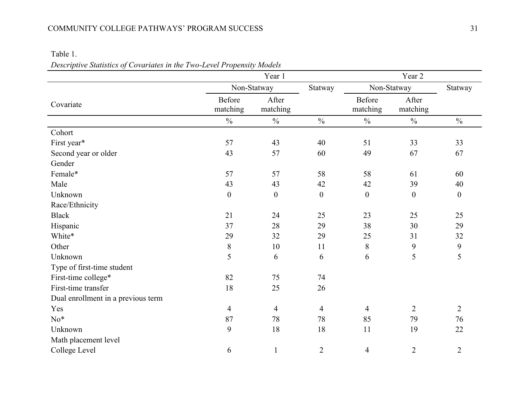# COMMUNITY COLLEGE PATHWAYS' PROGRAM SUCCESS 31

# Table 1.

*Descriptive Statistics of Covariates in the Two-Level Propensity Models*

|                                    |                           | Year 1            |                | Year 2                    |                   |                  |  |
|------------------------------------|---------------------------|-------------------|----------------|---------------------------|-------------------|------------------|--|
|                                    |                           | Non-Statway       | Statway        |                           | Non-Statway       | Statway          |  |
| Covariate                          | <b>Before</b><br>matching | After<br>matching |                | <b>Before</b><br>matching | After<br>matching |                  |  |
|                                    | $\frac{0}{0}$             | $\frac{0}{0}$     | $\frac{0}{0}$  | $\frac{0}{0}$             | $\frac{0}{0}$     | $\frac{0}{0}$    |  |
| Cohort                             |                           |                   |                |                           |                   |                  |  |
| First year*                        | 57                        | 43                | 40             | 51                        | 33                | 33               |  |
| Second year or older               | 43                        | 57                | 60             | 49                        | 67                | 67               |  |
| Gender                             |                           |                   |                |                           |                   |                  |  |
| Female*                            | 57                        | 57                | 58             | 58                        | 61                | 60               |  |
| Male                               | 43                        | 43                | 42             | 42                        | 39                | 40               |  |
| Unknown                            | $\boldsymbol{0}$          | $\boldsymbol{0}$  | $\mathbf{0}$   | $\boldsymbol{0}$          | $\boldsymbol{0}$  | $\boldsymbol{0}$ |  |
| Race/Ethnicity                     |                           |                   |                |                           |                   |                  |  |
| <b>Black</b>                       | 21                        | 24                | 25             | 23                        | 25                | 25               |  |
| Hispanic                           | 37                        | 28                | 29             | 38                        | 30                | 29               |  |
| White*                             | 29                        | 32                | 29             | 25                        | 31                | 32               |  |
| Other                              | $8\,$                     | 10                | 11             | 8                         | 9                 | 9                |  |
| Unknown                            | 5                         | 6                 | 6              | 6                         | 5                 | 5                |  |
| Type of first-time student         |                           |                   |                |                           |                   |                  |  |
| First-time college*                | 82                        | 75                | 74             |                           |                   |                  |  |
| First-time transfer                | 18                        | 25                | 26             |                           |                   |                  |  |
| Dual enrollment in a previous term |                           |                   |                |                           |                   |                  |  |
| Yes                                | $\overline{4}$            | $\overline{4}$    | $\overline{4}$ | $\overline{4}$            | $\overline{2}$    | $\overline{2}$   |  |
| $No*$                              | 87                        | 78                | 78             | 85                        | 79                | 76               |  |
| Unknown                            | 9                         | 18                | 18             | 11                        | 19                | 22               |  |
| Math placement level               |                           |                   |                |                           |                   |                  |  |
| College Level                      | 6                         | 1                 | $\overline{2}$ | 4                         | $\overline{2}$    | $\overline{2}$   |  |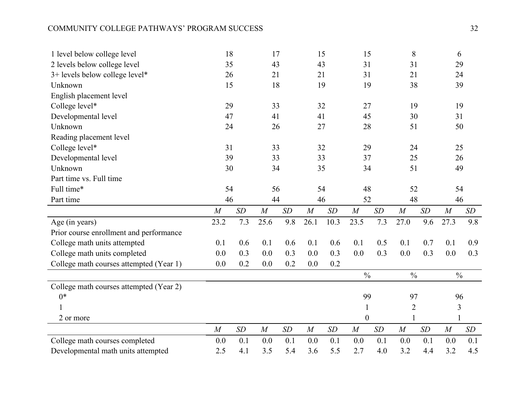# COMMUNITY COLLEGE PATHWAYS' PROGRAM SUCCESS 32

| 1 level below college level             | 18               |     | 17               |     | 15               |      | 15             |     | 8              |     | 6                |     |
|-----------------------------------------|------------------|-----|------------------|-----|------------------|------|----------------|-----|----------------|-----|------------------|-----|
| 2 levels below college level            | 35               |     | 43               |     | 43               |      | 31             |     | 31             |     | 29               |     |
| 3+ levels below college level*          | 26               |     | 21               |     | 21               |      | 31             |     | 21             |     | 24               |     |
| Unknown                                 | 15               |     | 18               |     | 19               |      | 19             |     | 38             |     | 39               |     |
| English placement level                 |                  |     |                  |     |                  |      |                |     |                |     |                  |     |
| College level*                          | 29               | 33  |                  | 32  |                  | 27   |                | 19  |                | 19  |                  |     |
| Developmental level                     | 47               | 41  |                  | 41  |                  | 45   |                | 30  |                | 31  |                  |     |
| Unknown                                 | 24               |     | 26               |     | 27               |      | 28             |     | 51             |     | 50               |     |
| Reading placement level                 |                  |     |                  |     |                  |      |                |     |                |     |                  |     |
| College level*                          | 31               |     | 33               |     | 32               |      | 29             |     | 24             |     | 25               |     |
| Developmental level                     | 39               |     | 33               |     | 33               |      | 37             |     | 25             |     | 26               |     |
| Unknown                                 | 30               |     | 34               |     | 35               |      | 34             |     | 51             |     | 49               |     |
| Part time vs. Full time                 |                  |     |                  |     |                  |      |                |     |                |     |                  |     |
| Full time*                              | 54               |     | 56               |     | 54               |      | 48             |     | 52             |     | 54               |     |
| Part time                               | 46               |     | 44               |     | 46               |      | 52             |     | 48             |     | 46               |     |
|                                         |                  |     |                  |     |                  |      |                |     |                |     |                  |     |
|                                         | M                | SD  | M                | SD  | $\boldsymbol{M}$ | SD   | M              | SD  | M              | SD  | M                | SD  |
| Age (in years)                          | 23.2             | 7.3 | 25.6             | 9.8 | 26.1             | 10.3 | 23.5           | 7.3 | 27.0           | 9.6 | 27.3             | 9.8 |
| Prior course enrollment and performance |                  |     |                  |     |                  |      |                |     |                |     |                  |     |
| College math units attempted            | 0.1              | 0.6 | 0.1              | 0.6 | 0.1              | 0.6  | 0.1            | 0.5 | 0.1            | 0.7 | 0.1              | 0.9 |
| College math units completed            | 0.0              | 0.3 | 0.0              | 0.3 | 0.0              | 0.3  | 0.0            | 0.3 | 0.0            | 0.3 | 0.0              | 0.3 |
| College math courses attempted (Year 1) | 0.0              | 0.2 | 0.0              | 0.2 | 0.0              | 0.2  |                |     |                |     |                  |     |
|                                         |                  |     |                  |     |                  |      | $\frac{0}{0}$  |     | $\frac{0}{0}$  |     | $\frac{0}{0}$    |     |
| College math courses attempted (Year 2) |                  |     |                  |     |                  |      |                |     |                |     |                  |     |
| $0*$                                    |                  |     |                  |     |                  |      | 99             |     | 97             |     | 96               |     |
| 1                                       |                  |     |                  |     |                  |      | 1              |     | $\overline{2}$ |     | 3                |     |
| 2 or more                               |                  |     |                  |     |                  |      | $\overline{0}$ |     |                |     |                  |     |
|                                         | $\boldsymbol{M}$ | SD  | $\boldsymbol{M}$ | SD  | $\boldsymbol{M}$ | SD   | M              | SD  | M              | SD  | $\boldsymbol{M}$ | SD  |
| College math courses completed          | 0.0              | 0.1 | 0.0              | 0.1 | 0.0              | 0.1  | 0.0            | 0.1 | 0.0            | 0.1 | 0.0              | 0.1 |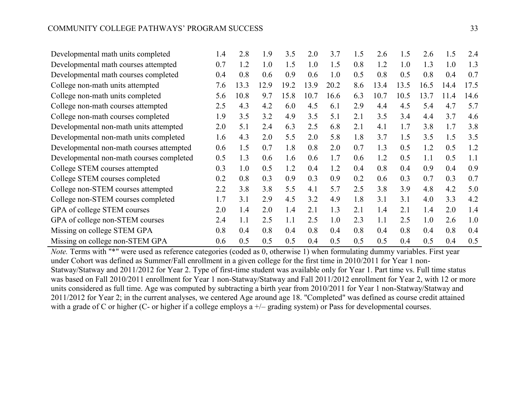| Developmental math units completed       | 1.4 | 2.8  | 1.9  | 3.5  | 2.0  | 3.7  | 1.5 | 2.6  | 1.5  | 2.6  | 1.5  | 2.4  |
|------------------------------------------|-----|------|------|------|------|------|-----|------|------|------|------|------|
| Developmental math courses attempted     | 0.7 | 1.2  | 1.0  | 1.5  | 1.0  | 1.5  | 0.8 | 1.2  | 1.0  | 1.3  | 1.0  | 1.3  |
| Developmental math courses completed     | 0.4 | 0.8  | 0.6  | 0.9  | 0.6  | 1.0  | 0.5 | 0.8  | 0.5  | 0.8  | 0.4  | 0.7  |
| College non-math units attempted         | 7.6 | 13.3 | 12.9 | 19.2 | 13.9 | 20.2 | 8.6 | 13.4 | 13.5 | 16.5 | 14.4 | 17.5 |
| College non-math units completed         | 5.6 | 10.8 | 9.7  | 15.8 | 10.7 | 16.6 | 6.3 | 10.7 | 10.5 | 13.7 | 11.4 | 14.6 |
| College non-math courses attempted       | 2.5 | 4.3  | 4.2  | 6.0  | 4.5  | 6.1  | 2.9 | 4.4  | 4.5  | 5.4  | 4.7  | 5.7  |
| College non-math courses completed       | 1.9 | 3.5  | 3.2  | 4.9  | 3.5  | 5.1  | 2.1 | 3.5  | 3.4  | 4.4  | 3.7  | 4.6  |
| Developmental non-math units attempted   | 2.0 | 5.1  | 2.4  | 6.3  | 2.5  | 6.8  | 2.1 | 4.1  | 1.7  | 3.8  | 1.7  | 3.8  |
| Developmental non-math units completed   | 1.6 | 4.3  | 2.0  | 5.5  | 2.0  | 5.8  | 1.8 | 3.7  | 1.5  | 3.5  | 1.5  | 3.5  |
| Developmental non-math courses attempted | 0.6 | 1.5  | 0.7  | 1.8  | 0.8  | 2.0  | 0.7 | 1.3  | 0.5  | 1.2  | 0.5  | 1.2  |
| Developmental non-math courses completed | 0.5 | 1.3  | 0.6  | 1.6  | 0.6  | 1.7  | 0.6 | 1.2  | 0.5  | 1.1  | 0.5  | 1.1  |
| College STEM courses attempted           | 0.3 | 1.0  | 0.5  | 1.2  | 0.4  | 1.2  | 0.4 | 0.8  | 0.4  | 0.9  | 0.4  | 0.9  |
| College STEM courses completed           | 0.2 | 0.8  | 0.3  | 0.9  | 0.3  | 0.9  | 0.2 | 0.6  | 0.3  | 0.7  | 0.3  | 0.7  |
| College non-STEM courses attempted       | 2.2 | 3.8  | 3.8  | 5.5  | 4.1  | 5.7  | 2.5 | 3.8  | 3.9  | 4.8  | 4.2  | 5.0  |
| College non-STEM courses completed       | 1.7 | 3.1  | 2.9  | 4.5  | 3.2  | 4.9  | 1.8 | 3.1  | 3.1  | 4.0  | 3.3  | 4.2  |
| GPA of college STEM courses              | 2.0 | 1.4  | 2.0  | 1.4  | 2.1  | 1.3  | 2.1 | 1.4  | 2.1  | 1.4  | 2.0  | 1.4  |
| GPA of college non-STEM courses          | 2.4 | 1.1  | 2.5  | 1.1  | 2.5  | 1.0  | 2.3 | 1.1  | 2.5  | 1.0  | 2.6  | 1.0  |
| Missing on college STEM GPA              | 0.8 | 0.4  | 0.8  | 0.4  | 0.8  | 0.4  | 0.8 | 0.4  | 0.8  | 0.4  | 0.8  | 0.4  |
| Missing on college non-STEM GPA          | 0.6 | 0.5  | 0.5  | 0.5  | 0.4  | 0.5  | 0.5 | 0.5  | 0.4  | 0.5  | 0.4  | 0.5  |

*Note.* Terms with "\*" were used as reference categories (coded as 0, otherwise 1) when formulating dummy variables. First year under Cohort was defined as Summer/Fall enrollment in a given college for the first time in 2010/2011 for Year 1 non-Statway/Statway and 2011/2012 for Year 2. Type of first-time student was available only for Year 1. Part time vs. Full time status was based on Fall 2010/2011 enrollment for Year 1 non-Statway/Statway and Fall 2011/2012 enrollment for Year 2, with 12 or more units considered as full time. Age was computed by subtracting a birth year from 2010/2011 for Year 1 non-Statway/Statway and 2011/2012 for Year 2; in the current analyses, we centered Age around age 18. "Completed" was defined as course credit attained with a grade of C or higher (C- or higher if a college employs  $a +/-$  grading system) or Pass for developmental courses.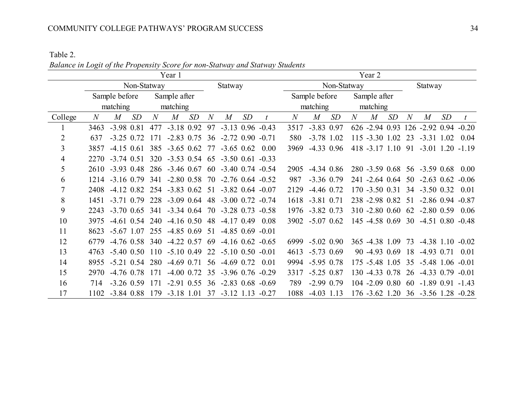Table 2.

*Balance in Logit of the Propensity Score for non-Statway and Statway Students*

|                |      |                                                       |             |     | Year 1                                                |    |         |   |    |             | Year 2          |                  |    |              |                   |         |   |                                           |    |  |
|----------------|------|-------------------------------------------------------|-------------|-----|-------------------------------------------------------|----|---------|---|----|-------------|-----------------|------------------|----|--------------|-------------------|---------|---|-------------------------------------------|----|--|
|                |      |                                                       | Non-Statway |     |                                                       |    | Statway |   |    | Non-Statway |                 |                  |    |              |                   | Statway |   |                                           |    |  |
|                |      | Sample before                                         |             |     | Sample after                                          |    |         |   |    |             | Sample before   |                  |    | Sample after |                   |         |   |                                           |    |  |
|                |      | matching                                              |             |     | matching                                              |    |         |   |    |             |                 | matching         |    |              | matching          |         |   |                                           |    |  |
| College        | N    | M                                                     | SD          | N   | M                                                     | SD | N       | M | SD |             | N               | $\boldsymbol{M}$ | SD | N            | $\boldsymbol{M}$  | SD      | N | $\boldsymbol{M}$                          | SD |  |
|                | 3463 | $-3.98$ 0.81                                          |             | 477 | $-3.18$ 0.92 97 $-3.13$ 0.96 $-0.43$                  |    |         |   |    |             | 3517            | $-3.83$ 0.97     |    |              |                   |         |   | 626 -2.94 0.93 126 -2.92 0.94 -0.20       |    |  |
| $\overline{2}$ | 637  | $-3.25$ 0.72                                          |             |     | 171 -2.83 0.75 36 -2.72 0.90 -0.71                    |    |         |   |    |             | 580             | $-3.78$ 1.02     |    |              | 115 -3.30 1.02 23 |         |   | $-3.31$ 1.02 0.04                         |    |  |
| 3              | 3857 |                                                       |             |     | $-4.15$ 0.61 385 $-3.65$ 0.62 77 $-3.65$ 0.62 0.00    |    |         |   |    |             | 3969            | $-4.33$ 0.96     |    |              |                   |         |   | 418 -3.17 1.10 91 -3.01 1.20 -1.19        |    |  |
| $\overline{4}$ |      | 2270 -3.74 0.51 320 -3.53 0.54 65 -3.50 0.61 -0.33    |             |     |                                                       |    |         |   |    |             |                 |                  |    |              |                   |         |   |                                           |    |  |
| 5              |      | 2610 -3.93 0.48 286 -3.46 0.67 60 -3.40 0.74 -0.54    |             |     |                                                       |    |         |   |    |             | 2905            | $-4.34$ 0.86     |    |              |                   |         |   | 280 -3.59 0.68 56 -3.59 0.68 0.00         |    |  |
| 6              |      | 1214 -3.16 0.79 341 -2.80 0.58 70 -2.76 0.64 -0.52    |             |     |                                                       |    |         |   |    |             | 987             | $-3.36$ 0.79     |    |              |                   |         |   | 241 -2.64 0.64 50 -2.63 0.62 -0.06        |    |  |
| 7              | 2408 | $-4.12$ 0.82 254 $-3.83$ 0.62 51 $-3.82$ 0.64 $-0.07$ |             |     |                                                       |    |         |   |    |             | 2129            | $-4.46$ 0.72     |    |              |                   |         |   | 170 -3.50 0.31 34 -3.50 0.32 0.01         |    |  |
| 8              | 1451 | -3.71 0.79 228 -3.09 0.64 48 -3.00 0.72 -0.74         |             |     |                                                       |    |         |   |    |             |                 | 1618 -3.81 0.71  |    |              |                   |         |   | 238 -2.98 0.82 51 -2.86 0.94 -0.87        |    |  |
| 9              |      | 2243 -3.70 0.65 341 -3.34 0.64 70 -3.28 0.73 -0.58    |             |     |                                                       |    |         |   |    |             |                 | 1976 -3.82 0.73  |    |              |                   |         |   | 310 -2.80 0.60 62 -2.80 0.59 0.06         |    |  |
| 10             | 3975 |                                                       |             |     | $-4.61$ 0.54 240 $-4.16$ 0.50 48 $-4.17$ 0.49 0.08    |    |         |   |    |             |                 | 3902 -5.07 0.62  |    |              |                   |         |   | 145 -4.58 0.69 30 -4.51 0.80 -0.48        |    |  |
| 11             |      | 8623 -5.67 1.07 255 -4.85 0.69 51 -4.85 0.69 -0.01    |             |     |                                                       |    |         |   |    |             |                 |                  |    |              |                   |         |   |                                           |    |  |
| 12             | 6779 |                                                       |             |     | $-4.76$ 0.58 340 $-4.22$ 0.57 69 $-4.16$ 0.62 $-0.65$ |    |         |   |    |             | 6999 -5.02 0.90 |                  |    |              |                   |         |   | 365 -4.38 1.09 73 -4.38 1.10 -0.02        |    |  |
| 13             |      | 4763 -5.40 0.50 110 -5.10 0.49 22 -5.10 0.50 -0.01    |             |     |                                                       |    |         |   |    |             | 4613 -5.73 0.69 |                  |    |              |                   |         |   | 90 -4.93 0.69 18 -4.93 0.71 0.01          |    |  |
| 14             |      | 8955 -5.21 0.54 280 -4.69 0.71 56 -4.69 0.72 0.01     |             |     |                                                       |    |         |   |    |             | 9994 -5.95 0.78 |                  |    |              |                   |         |   | 175 -5.48 1.05 35 -5.48 1.06 -0.01        |    |  |
| 15             |      | 2970 -4.76 0.78 171                                   |             |     | $-4.00$ 0.72 35 $-3.96$ 0.76 $-0.29$                  |    |         |   |    |             | 3317            | $-5.25$ 0.87     |    |              |                   |         |   | 130 -4.33 0.78 26 -4.33 0.79 -0.01        |    |  |
| 16             | 714  |                                                       |             |     | $-3.26$ 0.59 171 $-2.91$ 0.55 36 $-2.83$ 0.68 $-0.69$ |    |         |   |    |             | 789             | $-2.99$ 0.79     |    |              |                   |         |   | 104 -2.09 0.80 60 -1.89 0.91 -1.43        |    |  |
| 17             |      | 1102 -3.84 0.88 179 -3.18 1.01 37 -3.12 1.13 -0.27    |             |     |                                                       |    |         |   |    |             |                 | 1088 -4.03 1.13  |    |              |                   |         |   | $176 - 3.62$ 1.20 36 $-3.56$ 1.28 $-0.28$ |    |  |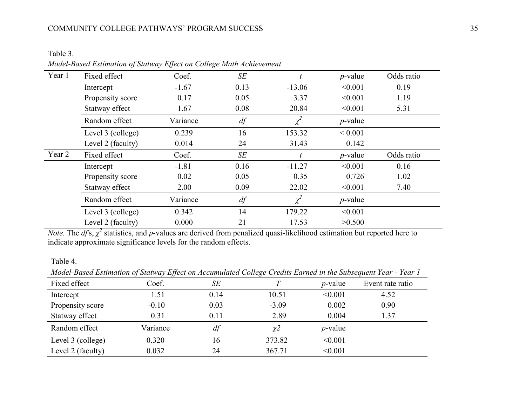# COMMUNITY COLLEGE PATHWAYS' PROGRAM SUCCESS 35

Table 3.

| Year 1 | Fixed effect      | Coef.    | SE   |            | $p$ -value  | Odds ratio |
|--------|-------------------|----------|------|------------|-------------|------------|
|        | Intercept         | $-1.67$  | 0.13 | $-13.06$   | < 0.001     | 0.19       |
|        | Propensity score  | 0.17     | 0.05 | 3.37       | < 0.001     | 1.19       |
|        | Statway effect    | 1.67     | 0.08 | 20.84      | < 0.001     | 5.31       |
|        | Random effect     | Variance | df   | $\chi^2$   | $p$ -value  |            |
|        | Level 3 (college) | 0.239    | 16   | 153.32     | ${}< 0.001$ |            |
|        | Level 2 (faculty) | 0.014    | 24   | 31.43      | 0.142       |            |
| Year 2 | Fixed effect      | Coef.    | SE   |            | $p$ -value  | Odds ratio |
|        | Intercept         | $-1.81$  | 0.16 | $-11.27$   | < 0.001     | 0.16       |
|        | Propensity score  | 0.02     | 0.05 | 0.35       | 0.726       | 1.02       |
|        | Statway effect    | 2.00     | 0.09 | 22.02      | < 0.001     | 7.40       |
|        | Random effect     | Variance | $df$ | $\chi^{2}$ | $p$ -value  |            |
|        | Level 3 (college) | 0.342    | 14   | 179.22     | < 0.001     |            |
|        | Level 2 (faculty) | 0.000    | 21   | 17.53      | >0.500      |            |

*Note.* The *df*'s,  $\chi^2$  statistics, and *p*-values are derived from penalized quasi-likelihood estimation but reported here to indicate approximate significance levels for the random effects.

# Table 4.

*Model-Based Estimation of Statway Effect on Accumulated College Credits Earned in the Subsequent Year - Year 1*

|                   | $\overline{\phantom{a}}$<br>JJ |      | ပ       |            |                  |
|-------------------|--------------------------------|------|---------|------------|------------------|
| Fixed effect      | Coef.                          | SE   |         | $p$ -value | Event rate ratio |
| Intercept         | 1.51                           | 0.14 | 10.51   | < 0.001    | 4.52             |
| Propensity score  | $-0.10$                        | 0.03 | $-3.09$ | 0.002      | 0.90             |
| Statway effect    | 0.31                           | 0.11 | 2.89    | 0.004      | 1.37             |
| Random effect     | Variance                       | df   |         | $p$ -value |                  |
| Level 3 (college) | 0.320                          | 16   | 373.82  | < 0.001    |                  |
| Level 2 (faculty) | 0.032                          | 24   | 367.71  | < 0.001    |                  |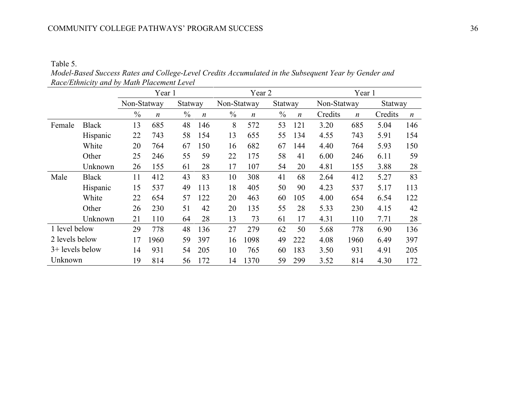Table 5.

*Model-Based Success Rates and College-Level Credits Accumulated in the Subsequent Year by Gender and Race/Ethnicity and by Math Placement Level*

|                 |              |               | Year 1                            |         |                  |               | Year 2           |               |                  | Year 1      |                  |         |                  |  |
|-----------------|--------------|---------------|-----------------------------------|---------|------------------|---------------|------------------|---------------|------------------|-------------|------------------|---------|------------------|--|
|                 |              | Non-Statway   |                                   | Statway |                  | Non-Statway   |                  | Statway       |                  | Non-Statway |                  | Statway |                  |  |
|                 |              | $\frac{0}{0}$ | $\frac{0}{0}$<br>$\boldsymbol{n}$ |         | $\boldsymbol{n}$ | $\frac{0}{0}$ | $\boldsymbol{n}$ | $\frac{0}{0}$ | $\boldsymbol{n}$ | Credits     | $\boldsymbol{n}$ | Credits | $\boldsymbol{n}$ |  |
| Female          | <b>Black</b> | 13            | 685                               | 48      | 146              | 8             | 572              | 53            | 121              | 3.20        | 685              | 5.04    | 146              |  |
|                 | Hispanic     | 22            | 743                               | 58      | 154              | 13            | 655              | 55            | 134              | 4.55        | 743              | 5.91    | 154              |  |
|                 | White        | 20            | 764                               | 67      | 150              | 16            | 682              | 67            | 144              | 4.40        | 764              | 5.93    | 150              |  |
|                 | Other        | 25            | 246                               | 55      | 59               | 22            | 175              | 58            | 41               | 6.00        | 246              | 6.11    | 59               |  |
|                 | Unknown      | 26            | 155                               | 61      | 28               | 17            | 107              | 54            | 20               | 4.81        | 155              | 3.88    | 28               |  |
| Male            | <b>Black</b> | 11            | 412                               | 43      | 83               | 10            | 308              | 41            | 68               | 2.64        | 412              | 5.27    | 83               |  |
|                 | Hispanic     | 15            | 537                               | 49      | 113              | 18            | 405              | 50            | 90               | 4.23        | 537              | 5.17    | 113              |  |
|                 | White        | 22            | 654                               | 57      | 122              | 20            | 463              | 60            | 105              | 4.00        | 654              | 6.54    | 122              |  |
|                 | Other        | 26            | 230                               | 51      | 42               | 20            | 135              | 55            | 28               | 5.33        | 230              | 4.15    | 42               |  |
|                 | Unknown      | 21            | 110                               | 64      | 28               | 13            | 73               | 61            | 17               | 4.31        | 110              | 7.71    | 28               |  |
| 1 level below   |              | 29            | 778                               | 48      | 136              | 27            | 279              | 62            | 50               | 5.68        | 778              | 6.90    | 136              |  |
| 2 levels below  |              | 17            | 1960                              | 59      | 397              | 16            | 1098             | 49            | 222              | 4.08        | 1960             | 6.49    | 397              |  |
| 3+ levels below |              | 14            | 931                               | 54      | 205              | 10            | 765              | 60            | 183              | 3.50        | 931              | 4.91    | 205              |  |
| Unknown         |              | 19            | 814                               | 56      | 172              | 14            | 1370             | 59            | 299              | 3.52        | 814              | 4.30    | 172              |  |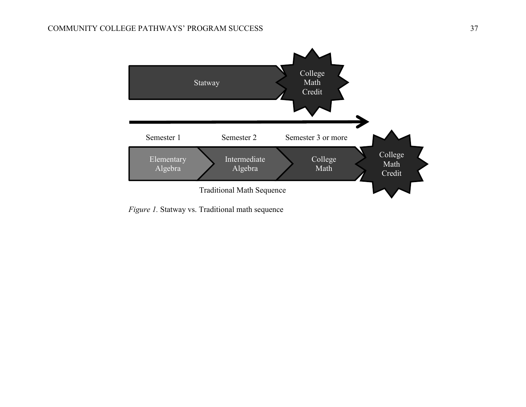

*Figure 1.* Statway vs. Traditional math sequence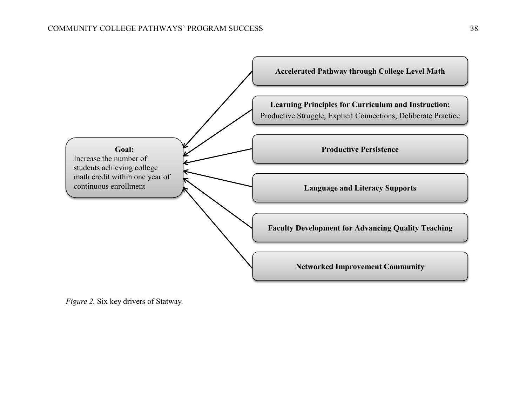

*Figure 2.* Six key drivers of Statway.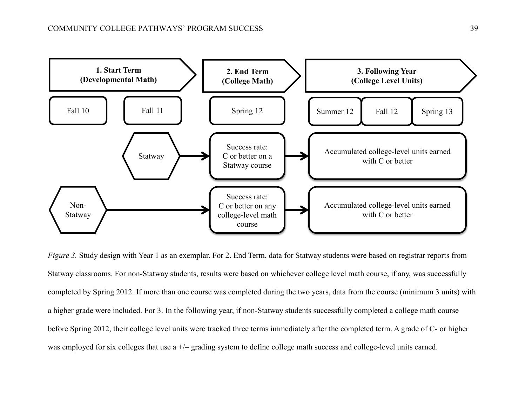

*Figure 3.* Study design with Year 1 as an exemplar. For 2. End Term, data for Statway students were based on registrar reports from Statway classrooms. For non-Statway students, results were based on whichever college level math course, if any, was successfully completed by Spring 2012. If more than one course was completed during the two years, data from the course (minimum 3 units) with a higher grade were included. For 3. In the following year, if non-Statway students successfully completed a college math course before Spring 2012, their college level units were tracked three terms immediately after the completed term. A grade of C- or higher was employed for six colleges that use a  $+\prime$ – grading system to define college math success and college-level units earned.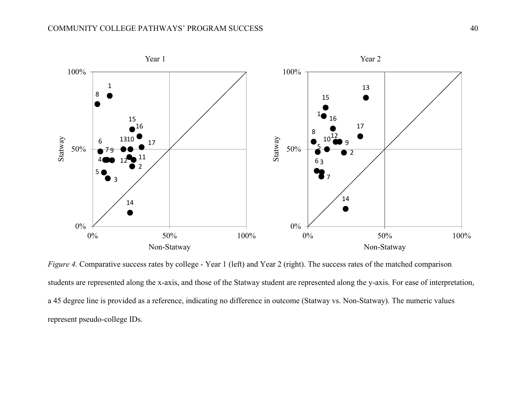

*Figure 4.* Comparative success rates by college - Year 1 (left) and Year 2 (right). The success rates of the matched comparison students are represented along the x-axis, and those of the Statway student are represented along the y-axis. For ease of interpretation, a 45 degree line is provided as a reference, indicating no difference in outcome (Statway vs. Non-Statway). The numeric values represent pseudo-college IDs.